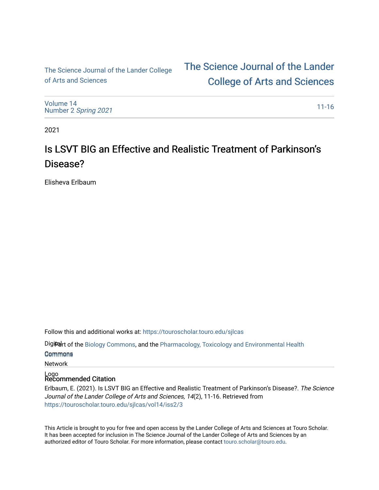[The Science Journal of the Lander College](https://touroscholar.touro.edu/)  of Arts and Sciences

[The Science Journal of the Lander](https://touroscholar.touro.edu/sjlcas)  [College of Arts and Sciences](https://touroscholar.touro.edu/sjlcas) 

[Volume 14](https://touroscholar.touro.edu/sjlcas/vol14) Number 2 [Spring 2021](https://touroscholar.touro.edu/sjlcas/vol14/iss2) 

[11-16](https://touroscholar.touro.edu/sjlcas/vol14/iss2/3) 

2021

# Is LSVT BIG an Effective and Realistic Treatment of Parkinson's Disease?

Elisheva Erlbaum

Follow this and additional works at: [https://touroscholar.touro.edu/sjlcas](https://touroscholar.touro.edu/sjlcas?utm_source=touroscholar.touro.edu%2Fsjlcas%2Fvol14%2Fiss2%2F3&utm_medium=PDF&utm_campaign=PDFCoverPages) 

Digiter of the [Biology Commons,](http://network.bepress.com/hgg/discipline/41?utm_source=touroscholar.touro.edu%2Fsjlcas%2Fvol14%2Fiss2%2F3&utm_medium=PDF&utm_campaign=PDFCoverPages) and the Pharmacology, Toxicology and Environmental Health

Commons [Commons](http://network.bepress.com/hgg/discipline/63?utm_source=touroscholar.touro.edu%2Fsjlcas%2Fvol14%2Fiss2%2F3&utm_medium=PDF&utm_campaign=PDFCoverPages)

Network

Logo Recommended Citation

Erlbaum, E. (2021). Is LSVT BIG an Effective and Realistic Treatment of Parkinson's Disease?. The Science Journal of the Lander College of Arts and Sciences, 14(2), 11-16. Retrieved from [https://touroscholar.touro.edu/sjlcas/vol14/iss2/3](https://touroscholar.touro.edu/sjlcas/vol14/iss2/3?utm_source=touroscholar.touro.edu%2Fsjlcas%2Fvol14%2Fiss2%2F3&utm_medium=PDF&utm_campaign=PDFCoverPages)

This Article is brought to you for free and open access by the Lander College of Arts and Sciences at Touro Scholar. It has been accepted for inclusion in The Science Journal of the Lander College of Arts and Sciences by an authorized editor of Touro Scholar. For more information, please contact [touro.scholar@touro.edu](mailto:touro.scholar@touro.edu).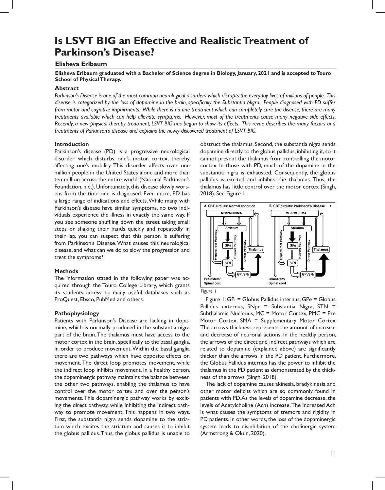# **Is LSVT BIG an Effective and Realistic Treatment of Parkinson's Disease?**

# **Elisheva Erlbaum**

**Elisheva Erlbaum graduated with a Bachelor of Science degree in Biology, January, 2021 and is accepted to Touro School of Physical Therapy.**

### **Abstract**

*Parkinson's Disease is one of the most common neurological disorders which disrupts the everyday lives of millions of people. This disease is categorized by the loss of dopamine in the brain, specifically the Substantia Nigra. People diagnosed with PD suffer from motor and cognitive impairments. While there is no one treatment which can completely cure the disease, there are many treatments available which can help alleviate symptoms. However, most of the treatments cause many negative side effects. Recently, a new physical therapy treatment, LSVT BIG has begun to show its effects. This revue describes the many factors and treatments of Parkinson's disease and explains the newly discovered treatment of LSVT BIG.*

## **Introduction**

Parkinson's disease (PD) is a progressive neurological disorder which disturbs one's motor cortex, thereby affecting one's mobility. This disorder affects over one million people in the United States alone and more than ten million across the entire world (National Parkinson's Foundation, n.d.). Unfortunately, this disease slowly worsens from the time one is diagnosed. Even more, PD has a large range of indications and effects. While many with Parkinson's disease have similar symptoms, no two individuals experience the illness in exactly the same way. If you see someone shuffling down the street taking small steps or shaking their hands quickly and repeatedly in their lap, you can suspect that this person is suffering from Parkinson's Disease. What causes this neurological disease, and what can we do to slow the progression and treat the symptoms?

#### **Methods**

The information stated in the following paper was acquired through the Touro College Library, which grants its students access to many useful databases such as ProQuest, Ebsco, PubMed and others.

#### **Pathophysiology**

Patients with Parkinson's Disease are lacking in dopamine, which is normally produced in the substantia nigra part of the brain. The thalamus must have access to the motor cortex in the brain, specifically to the basal ganglia, in order to produce movement. Within the basal ganglia there are two pathways which have opposite effects on movement. The direct loop promotes movement, while the indirect loop inhibits movement. In a healthy person, the dopaminergic pathway maintains the balance between the other two pathways, enabling the thalamus to have control over the motor cortex and over the person's movements. This dopaminergic pathway works by exciting the direct pathway, while inhibiting the indirect pathway to promote movement. This happens in two ways. First, the substantia nigra sends dopamine to the striatum which excites the striatum and causes it to inhibit the globus pallidus. Thus, the globus pallidus is unable to

obstruct the thalamus. Second, the substantia nigra sends dopamine directly to the globus pallidus, inhibiting it, so it cannot prevent the thalamus from controlling the motor cortex. In those with PD, much of the dopamine in the substantia nigra is exhausted. Consequently, the globus pallidus is excited and inhibits the thalamus. Thus, the thalamus has little control over the motor cortex (Singh, 2018). See Figure 1.





Figure 1: GPi = Globus Pallidus internus, GPe = Globus Pallidus externus,  $SNpr = Substantia Nigra, STN =$ Subthalamic Nucleous, MC = Motor Cortex, PMC = Pre Motor Cortex, SMA = Supplementary Motor Cortex The arrows thickness represents the amount of increase and decrease of neuronal actions. In the healthy person, the arrows of the direct and indirect pathways which are related to dopamine (explained above) are significantly thicker than the arrows in the PD patient. Furthermore, the Globus Pallidus internus has the power to inhibit the thalamus in the PD patient as demonstrated by the thickness of the arrows (Singh, 2018).

The lack of dopamine causes akinesia, bradykinesia and other motor deficits which are so commonly found in patients with PD. As the levels of dopamine decrease, the levels of Acetylcholine (Ach) increase. The increased Ach is what causes the symptoms of tremors and rigidity in PD patients. In other words, the loss of the dopaminergic system leads to disinhibition of the cholinergic system (Armstrong & Okun, 2020).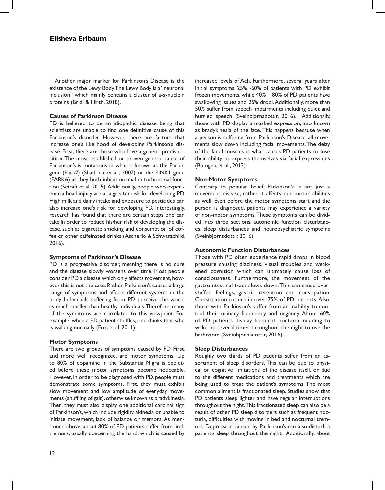Another major marker for Parkinson's Disease is the existence of the Lewy Body. The Lewy Body is a "neuronal inclusion" which mainly contains a cluster of a-synuclein proteins (Bridi & Hirth, 2018).

## **Causes of Parkinson Disease**

PD is believed to be an idiopathic disease being that scientists are unable to find one definitive cause of this Parkinson's disorder. However, there are factors that increase one's likelihood of developing Parkinson's disease. First, there are those who have a genetic predisposition. The most established or proven genetic cause of Parkinson's is mutations in what is known as the Parkin gene (Park2) (Shadrina, et al., 2007) or the PINK1 gene (PARK6) as they both inhibit normal mitochondrial function (Seirafi, et.al. 2015). Additionally, people who experience a head injury are at a greater risk for developing PD. High milk and dairy intake and exposure to pesticides can also increase one's risk for developing PD. Interestingly, research has found that there are certain steps one can take in order to reduce his/her risk of developing the disease, such as cigarette smoking and consumption of coffee or other caffeinated drinks (Ascherio & Schwarzchild, 2016).

## **Symptoms of Parkinson's Disease**

PD is a progressive disorder, meaning there is no cure and the disease slowly worsens over time. Most people consider PD a disease which only affects movement, however this is not the case. Rather, Parkinson's causes a large range of symptoms and affects different systems in the body. Individuals suffering from PD perceive the world as much smaller than healthy individuals. Therefore, many of the symptoms are correlated to this viewpoint. For example, when a PD patient shuffles, one thinks that s/he is walking normally. (Fox, et.al. 2011).

# **Motor Symptoms**

There are two groups of symptoms caused by PD. First, and more well recognized, are motor symptoms. Up to 80% of dopamine in the Substantia Nigra is depleted before these motor symptoms become noticeable. However, in order to be diagnosed with PD, people must demonstrate some symptoms. First, they must exhibit slow movement and low amplitude of everyday movements (shuffling of gait), otherwise known as bradykinesia. Then, they must also display one additional cardinal sign of Parkinson's, which include rigidity, akinesia or unable to initiate movement, lack of balance or tremors. As mentioned above, about 80% of PD patients suffer from limb tremors, usually concerning the hand, which is caused by increased levels of Ach. Furthermore, several years after initial symptoms, 25% -60% of patients with PD exhibit frozen movements, while 40% – 80% of PD patients have swallowing issues and 25% drool. Additionally, more than 50% suffer from speech impairments including quiet and hurried speech (Sveinbjornsdottir, 2016). Additionally, those with PD display a masked expression, also known as bradykinesia of the face. This happens because when a person is suffering from Parkinson's Disease, all movements slow down including facial movements. The delay of the facial muscles is what causes PD patients to lose their ability to express themselves via facial expressions (Bologna, et al., 2013).

#### **Non-Motor Symptoms**

Contrary to popular belief, Parkinson's is not just a movement disease, rather it affects non-motor abilities as well. Even before the motor symptoms start and the person is diagnosed, patients may experience a variety of non-motor symptoms. These symptoms can be divided into three sections: autonomic function disturbances, sleep disturbances and neuropsychiatric symptoms (Sveinbjornsdottir, 2016).

## **Autonomic Function Disturbances**

Those with PD often experience rapid drops in blood pressure causing dizziness, visual troubles and weakened cognition which can ultimately cause loss of consciousness. Furthermore, the movement of the gastrointestinal tract slows down. This can cause overstuffed feelings, gastric retention and constipation. Constipation occurs in over 75% of PD patients. Also, those with Parkinson's suffer from an inability to control their urinary frequency and urgency. About 60% of PD patients display frequent nocturia, needing to wake up several times throughout the night to use the bathroom (Sveinbjornsdottir, 2016).

#### **Sleep Disturbances**

Roughly two thirds of PD patients suffer from an assortment of sleep disorders. This can be due to physical or cognitive limitations of the disease itself, or due to the different medications and treatments which are being used to treat the patient's symptoms. The most common ailment is fractionated sleep. Studies show that PD patients sleep lighter and have regular interruptions throughout the night. This fractionated sleep can also be a result of other PD sleep disorders such as frequent nocturia, difficulties with moving in bed and nocturnal tremors. Depression caused by Parkinson's can also disturb a patient's sleep throughout the night. Additionally, about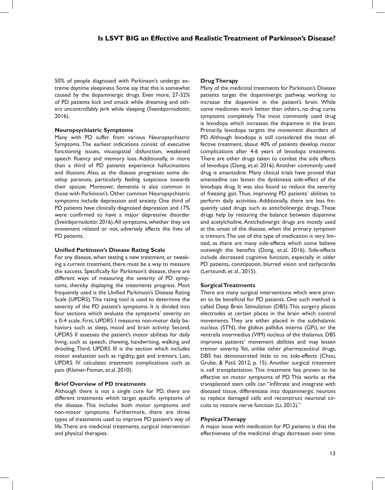50% of people diagnosed with Parkinson's undergo extreme daytime sleepiness. Some say that this is somewhat caused by the dopaminergic drugs. Even more, 27-32% of PD patients kick and smack while dreaming and others uncontrollably jerk while sleeping (Sveinbjornsdottir, 2016).

# **Neuropsychiatric Symptoms**

Many with PD suffer from various Neuropsychiatric Symptoms. The earliest indications consist of executive functioning issues, visuospatial disfunction, weakened speech fluency and memory loss. Additionally, in more than a third of PD patients experience hallucinations and illusions. Also, as the disease progresses some develop paranoia, particularly feeling suspicious towards their spouse. Moreover, dementia is also common in those with Parkinson's. Other common Neuropsychiatric symptoms include depression and anxiety. One third of PD patients have clinically diagnosed depression and 17% were confirmed to have a major depressive disorder (Sveinbjornsdottir, 2016). All symptoms, whether they are movement related or not, adversely affects the lives of PD patients.

# **Unified Parkinson's Disease Rating Scale**

For any disease, when testing a new treatment, or tweaking a current treatment, there must be a way to measure the success. Specifically for Parkinson's disease, there are different ways of measuring the severity of PD symptoms, thereby displaying the treatments progress. Most frequently used is the Unified Parkinson's Disease Rating Scale (UPDRS). This rating tool is used to determine the severity of the PD patient's symptoms. It is divided into four sections which evaluate the symptoms' severity on a 0-4 scale. First, UPDRS I measures non-motor daily behaviors such as sleep, mood and brain activity. Second, UPDRS II assesses the patient's motor abilities for daily living, such as speech, chewing, handwriting, walking and drooling. Third, UPDRS III is the section which includes motor evaluation such as rigidity, gait and tremors. Last, UPDRS IV calculates treatment complications such as pain (Kleiner-Fisman, et.al. 2010).

# **Brief Overview of PD treatments**

Although there is not a single cure for PD, there are different treatments which target specific symptoms of the disease. This includes both motor symptoms and non-motor symptoms. Furthermore, there are three types of treatments used to improve PD patient's way of life. There are medicinal treatments, surgical intervention and physical therapies.

## **Drug Therapy**

Many of the medicinal treatments for Parkinson's Disease patients target the dopaminergic pathway, working to increase the dopamine in the patient's brain. While some medicines work better than others, no drug cures symptoms completely. The most commonly used drug is levodopa which increases the dopamine in the brain. Primarily, levodopa targets the movement disorders of PD. Although levodopa is still considered the most effective treatment, about 40% of patients develop motor complications after 4-6 years of levodopa treatments. There are other drugs taken to combat the side effects of levodopa (Dong, et.al. 2016). Another commonly used drug is amantadine. Many clinical trials have proved that amantadine can lessen the dyskinesia side-effect of the levodopa drug. It was also found to reduce the severity of freezing gait. Thus, improving PD patients' abilities to perform daily activities. Additionally, there are less frequently used drugs such as anticholinergic drugs. These drugs help by restoring the balance between dopamine and acetylcholine. Anticholinergic drugs are mostly used at the onset of the disease, when the primary symptom is tremors. The use of this type of medication is very limited, as there are many side-effects which some believe outweigh the benefits (Dong, et.al. 2016). Side-effects include decreased cognitive function, especially in older PD patients, constipation, blurred vision and tachycardia (Lertxundi, et al., 2015).

# **Surgical Treatments**

There are many surgical interventions which were proven to be beneficial for PD patients. One such method is called Deep Brain Stimulation (DBS). This surgery places electrodes at certain places in the brain which control movements. They are either placed in the subthalamic nucleus (STN), the globus pallidus interna (GPi), or the ventralis intermedius (VIM) nucleus of the thalamus. DBS improves patients' movement abilities and may lessen tremor severity. Yet, unlike other pharmaceutical drugs, DBS has demonstrated little to no side-effects (Chou, Grube, & Patil, 2012, p. 15). Another surgical treatment is cell transplantation. This treatment has proven to be effective on motor symptoms of PD. This works as the transplanted stem cells can "infiltrate and integrate with diseased tissue, differentiate into dopaminergic neurons to replace damaged cells and reconstruct neuronal circuits to restore nerve function (Li, 2012)."

# **Physical Therapy**

A major issue with medication for PD patients is that the effectiveness of the medicinal drugs decreases over time.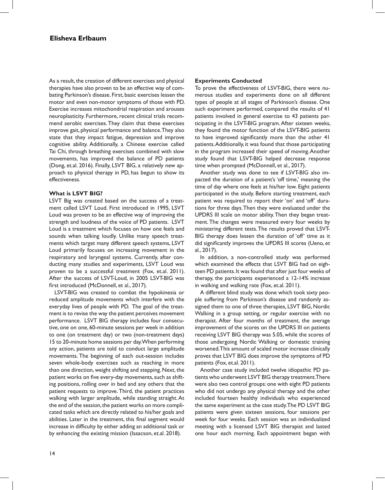As a result, the creation of different exercises and physical therapies have also proven to be an effective way of combating Parkinson's disease. First, basic exercises lessen the motor and even non-motor symptoms of those with PD. Exercise increases mitochondrial respiration and arouses neuroplasticity. Furthermore, recent clinical trials recommend aerobic exercises. They claim that these exercises improve gait, physical performance and balance. They also state that they impact fatigue, depression and improve cognitive ability. Additionally, a Chinese exercise called Tai Chi, through breathing exercises combined with slow movements, has improved the balance of PD patients (Dong, et.al. 2016). Finally, LSVT BIG, a relatively new approach to physical therapy in PD, has begun to show its effectiveness.

## **What is LSVT BIG?**

LSVT Big was created based on the success of a treatment called LSVT Loud. First introduced in 1995, LSVT Loud was proven to be an effective way of improving the strength and loudness of the voice of PD patients. LSVT Loud is a treatment which focuses on how one feels and sounds when talking loudly. Unlike many speech treatments which target many different speech systems, LSVT Loud primarily focuses on increasing movement in the respiratory and laryngeal systems. Currently, after conducting many studies and experiments, LSVT Loud was proven to be a successful treatment (Fox, et.al. 2011). After the success of LSVT-Loud, in 2005 LSVT-BIG was first introduced (McDonnell, et al., 2017).

LSVT-BIG was created to combat the hypokinesia or reduced amplitude movements which interfere with the everyday lives of people with PD. The goal of the treatment is to revise the way the patient perceives movement performance. LSVT BIG therapy includes four consecutive, one on one, 60-minute sessions per week in addition to one (on treatment day) or two (non-treatment days) 15 to 20-minute home sessions per day. When performing any action, patients are told to conduct large amplitude movements. The beginning of each out-session includes seven whole-body exercises such as reaching in more than one direction, weight shifting and stepping. Next, the patient works on five every-day movements, such as shifting positions, rolling over in bed and any others that the patient requests to improve. Third, the patient practices walking with larger amplitude, while standing straight. At the end of the session, the patient works on more complicated tasks which are directly related to his/her goals and abilities. Later in the treatment, this final segment would increase in difficulty by either adding an additional task or by enhancing the existing mission (Isaacson, et.al. 2018).

## **Experiments Conducted**

To prove the effectiveness of LSVT-BIG, there were numerous studies and experiments done on all different types of people at all stages of Parkinson's disease. One such experiment performed, compared the results of 41 patients involved in general exercise to 43 patients participating in the LSVT-BIG program. After sixteen weeks, they found the motor function of the LSVT-BIG patients to have improved significantly more than the other 41 patients. Additionally, it was found that those participating in the program increased their speed of moving. Another study found that LSVT-BIG helped decrease response time when prompted (McDonnell, et al., 2017).

Another study was done to see if LSVT-BIG also impacted the duration of a patient's 'off time,' meaning the time of day where one feels at his/her low. Eight patients participated in the study. Before starting treatment, each patient was required to report their 'on' and 'off' durations for three days. Then they were evaluated under the UPDRS III scale on motor ability. Then they began treatment. The changes were measured every four weeks by ministering different tests. The results proved that LSVT-BIG therapy does lessen the duration of 'off' time as it did significantly improves the UPDRS III scores (Ueno, et al., 2017).

In addition, a non-controlled study was performed which examined the effects that LSVT BIG had on eighteen PD patients. It was found that after just four weeks of therapy, the participants experienced a 12-14% increase in walking and walking rate (Fox, et.al. 2011).

A different blind study was done which took sixty people suffering from Parkinson's disease and randomly assigned them to one of three therapies, LSVT BIG, Nordic Walking in a group setting, or regular exercise with no therapist. After four months of treatment, the average improvement of the scores on the UPDRS III on patients receiving LSVT BIG therapy was 5.05, while the scores of those undergoing Nordic Walking or domestic training worsened. This amount of scaled motor increase clinically proves that LSVT BIG does improve the symptoms of PD patients (Fox, et.al. 2011).

Another case study included twelve idiopathic PD patients who underwent LSVT BIG therapy treatment. There were also two control groups: one with eight PD patients who did not undergo any physical therapy and the other included fourteen healthy individuals who experienced the same experiment as the case study. The PD LSVT BIG patients were given sixteen sessions, four sessions per week for four weeks. Each session was an individualized meeting with a licensed LSVT BIG therapist and lasted one hour each morning. Each appointment began with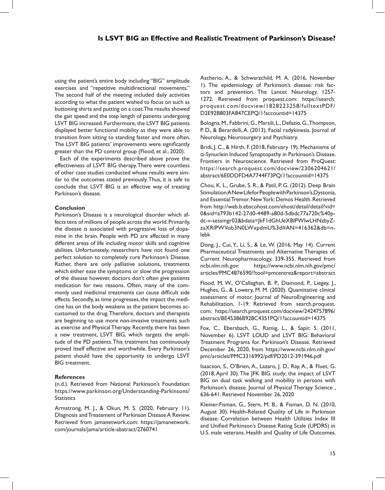using the patient's entire body including "BIG" amplitude exercises and "repetitive multidirectional movements." The second half of the meeting included daily activities according to what the patient wished to focus on such as buttoning shirts and putting on a coat. The results showed the gait speed and the step length of patients undergoing LSVT BIG increased. Furthermore, the LSVT BIG patients displayed better functional mobility as they were able to transition from sitting to standing faster and more often. The LSVT BIG patients' improvements were significantly greater than the PD control group (Flood, et al., 2020).

Each of the experiments described above prove the effectiveness of LSVT BIG therapy. There were countless of other case studies conducted whose results were similar to the outcomes stated previously. Thus, it is safe to conclude that LSVT BIG is an effective way of treating Parkinson's disease.

# **Conclusion**

Parkinson's Disease is a neurological disorder which affects tens of millions of people across the world. Primarily, the disease is associated with progressive loss of dopamine in the brain. People with PD are affected in many different areas of life including motor skills and cognitive abilities. Unfortunately, researchers have not found one perfect solution to completely cure Parkinson's Disease. Rather, there are only palliative solutions, treatments which either ease the symptoms or slow the progression of the disease however, doctors don't often give patients medication for two reasons. Often, many of the commonly used medicinal treatments can cause difficult side effects. Secondly, as time progresses, the impact the medicine has on the body weakens as the patient becomes accustomed to the drug. Therefore, doctors and therapists are beginning to use more non-invasive treatments such as exercise and Physical Therapy. Recently, there has been a new treatment, LSVT BIG, which targets the amplitude of the PD patients. This treatment has continuously proved itself effective and worthwhile. Every Parkinson's patient should have the opportunity to undergo LSVT BIG treatment.

# **References**

(n.d.). Retrieved from National Parkinson's Foundation: https://www.parkinson.org/Understanding-Parkinsons/ **Statistics** 

Armstrong, M. J., & Okun, M. S. (2020, February 11). DIagnosis and Treatement of Parkinson Disease A Review. Retrieved from jamanetwork.com: https://jamanetwork. com/journals/jama/article-abstract/2760741

Ascherio, A., & Schwarzchild, M. A. (2016, November 1). The epidemiology of Parkinson's disease: risk factors and prevention. The Lancet Neurology, 1257- 1272. Retrieved from proquest.com: https://search. proquest.com/docview/1828223258/fulltextPDF/ D2E92B803FA847CEPQ/1?accountid=14375

Bologna, M., Fabbrini, G., Marsili, L., Defazio, G., Thompson, P. D., & Berardelli, A. (2013). Facial radykinesia. Journal of Neurology, Neurosurgery and Psychiatry.

Bridi, J. C., & Hirth, F. (2018, February 19). Mechanisms of α-Synuclein Induced Synaptopathy in Parkinson's Disease. Frontiers in Neuroscience. Retrieved from ProQuest: https://search.proquest.com/docview/2306204621/ abstract/6E0DDFD4A7744F73PQ/1?accountid=14375

Chou, K. L., Grube, S. R., & Patil, P. G. (2012). Deep Brain Stimulation A New Life for People with Parkinson's, Dystonia, and Essential Tremor. New York: Demos Health. Retrieved from http://web.b.ebscohost.com/ehost/detail/detail?vid= 0&sid=a793b142-27d0-4489-a80d-5dbdc77a720c%40pdc-v-sessmgr02&bdata=JkF1dGhUeXBlPWlwLHNzbyZzaXRlPWVob3N0LWxpdmU%3d#AN=416362&db=nlebk

Dong, J., Cui, Y., Li, S., & Le, W. (2016, May 14). Current Pharmaceutical Treatments and Alternative Therapies of. Current Neuropharmacology, 339-355. Retrieved from ncbi.nlm.nih.gov: https://www.ncbi.nlm.nih.gov/pmc/ articles/PMC4876590/?tool=pmcentrez&report=abstract

Flood, M. W., O'Callaghan, B. P., Diamond, P., Liegey, J., Hughes, G., & Lowery, M. M. (2020). Quantitative clinical assessment of motor. Journal of NeuroEngineering and Rehabilitation, 1-19. Retrieved from search.proquest. com: https://search.proquest.com/docview/2424757896/ abstract/BE45386B928C4351PQ/1?accountid=14375

Fox, C., Ebersbach, G., Ramig, L., & Sapir, S. (2011, November 6). LSVT LOUD and LSVT BIG: Behavioral Treatment Programs for. Parkinson's Disease. Retrieved December 26, 2020, from https://www.ncbi.nlm.nih.gov/ pmc/articles/PMC3316992/pdf/PD2012-391946.pdf

Isaacson, S., O'Brien, A., Lazaro, J. D., Ray, A., & Fluet, G. (2018, April 30). The JFK BIG study; the impact of LSVT BIG on dual task walking and mobility in persons with Parkinson's disease. Journal of Physical Therapy Science , 636-641. Retrieved November 26, 2020

Kleiner-Fisman, G., Stern, M. B., & Fisman, D. N. (2010, August 30). Health-Related Quality of Life in Parkinson disease: Correlation between Health Utilities Index III and Unified Parkinson's Disease Rating Scale (UPDRS) in U.S. male veterans. Health and Quality of Life Outcomes.